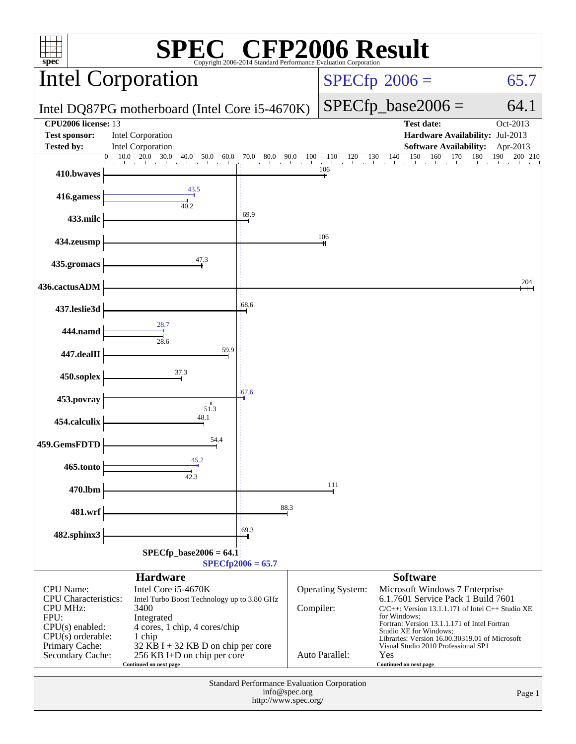| <b>EC<sup>®</sup> CFP2006 Result</b><br>spec <sup>®</sup><br>Copyright 2006-2014 Standard Performance E                                               |                                                                                                                                                                                                                             |                   |                                                                                                               |                                                                                                                                                                                                                                                                                                                                            |                   |  |  |
|-------------------------------------------------------------------------------------------------------------------------------------------------------|-----------------------------------------------------------------------------------------------------------------------------------------------------------------------------------------------------------------------------|-------------------|---------------------------------------------------------------------------------------------------------------|--------------------------------------------------------------------------------------------------------------------------------------------------------------------------------------------------------------------------------------------------------------------------------------------------------------------------------------------|-------------------|--|--|
|                                                                                                                                                       | <b>Intel Corporation</b>                                                                                                                                                                                                    |                   | $SPECfp^{\circledast}2006 =$<br>65.7                                                                          |                                                                                                                                                                                                                                                                                                                                            |                   |  |  |
|                                                                                                                                                       | Intel DQ87PG motherboard (Intel Core i5-4670K)                                                                                                                                                                              |                   | $SPECfp\_base2006 =$                                                                                          | 64.1                                                                                                                                                                                                                                                                                                                                       |                   |  |  |
| CPU2006 license: 13<br><b>Test sponsor:</b><br><b>Tested by:</b>                                                                                      | <b>Intel Corporation</b><br><b>Intel Corporation</b>                                                                                                                                                                        |                   | <b>Test date:</b><br>Oct-2013<br>Hardware Availability: Jul-2013<br><b>Software Availability:</b><br>Apr-2013 |                                                                                                                                                                                                                                                                                                                                            |                   |  |  |
|                                                                                                                                                       | $\mathbf{0}$<br>10.0<br>20.0<br>30.0<br>40.0<br>60.0<br>50.0                                                                                                                                                                | 70.0<br>80.0 90.0 | 100<br>120<br>110<br>106                                                                                      | 140<br>150<br>160<br>130<br>170<br>180                                                                                                                                                                                                                                                                                                     | 190<br>200<br>210 |  |  |
| 410.bwaves<br>416.gamess                                                                                                                              | 43.5                                                                                                                                                                                                                        |                   |                                                                                                               |                                                                                                                                                                                                                                                                                                                                            |                   |  |  |
| 433.milc                                                                                                                                              | 40.2                                                                                                                                                                                                                        | 69.9              |                                                                                                               |                                                                                                                                                                                                                                                                                                                                            |                   |  |  |
| 434.zeusmp                                                                                                                                            |                                                                                                                                                                                                                             |                   | 106                                                                                                           |                                                                                                                                                                                                                                                                                                                                            |                   |  |  |
| 435.gromacs                                                                                                                                           | 47.3                                                                                                                                                                                                                        |                   |                                                                                                               |                                                                                                                                                                                                                                                                                                                                            |                   |  |  |
| 436.cactusADM                                                                                                                                         |                                                                                                                                                                                                                             |                   |                                                                                                               |                                                                                                                                                                                                                                                                                                                                            | 204               |  |  |
| 437.leslie3d                                                                                                                                          |                                                                                                                                                                                                                             | $-68.6$           |                                                                                                               |                                                                                                                                                                                                                                                                                                                                            |                   |  |  |
| 444.namd                                                                                                                                              | 28.7                                                                                                                                                                                                                        |                   |                                                                                                               |                                                                                                                                                                                                                                                                                                                                            |                   |  |  |
| 447.dealII                                                                                                                                            | 28.6<br>59.9                                                                                                                                                                                                                |                   |                                                                                                               |                                                                                                                                                                                                                                                                                                                                            |                   |  |  |
| 450.soplex                                                                                                                                            | 37.3                                                                                                                                                                                                                        |                   |                                                                                                               |                                                                                                                                                                                                                                                                                                                                            |                   |  |  |
| $-67.6$<br>453.povray<br>51.3                                                                                                                         |                                                                                                                                                                                                                             |                   |                                                                                                               |                                                                                                                                                                                                                                                                                                                                            |                   |  |  |
| 454.calculix                                                                                                                                          | 48.1                                                                                                                                                                                                                        |                   |                                                                                                               |                                                                                                                                                                                                                                                                                                                                            |                   |  |  |
| 459.GemsFDTD                                                                                                                                          | 54.4                                                                                                                                                                                                                        |                   |                                                                                                               |                                                                                                                                                                                                                                                                                                                                            |                   |  |  |
| 465.tonto                                                                                                                                             | 45.2<br>42.3                                                                                                                                                                                                                |                   |                                                                                                               |                                                                                                                                                                                                                                                                                                                                            |                   |  |  |
| 470.lbm                                                                                                                                               |                                                                                                                                                                                                                             | 111               |                                                                                                               |                                                                                                                                                                                                                                                                                                                                            |                   |  |  |
| 481.wrf                                                                                                                                               | 88.3                                                                                                                                                                                                                        |                   |                                                                                                               |                                                                                                                                                                                                                                                                                                                                            |                   |  |  |
| 482.sphinx3                                                                                                                                           |                                                                                                                                                                                                                             | 169.3             |                                                                                                               |                                                                                                                                                                                                                                                                                                                                            |                   |  |  |
| $SPECfp\_base2006 = 64.1$<br>$SPECfp2006 = 65.7$                                                                                                      |                                                                                                                                                                                                                             |                   |                                                                                                               |                                                                                                                                                                                                                                                                                                                                            |                   |  |  |
| CPU Name:<br><b>CPU</b> Characteristics:<br><b>CPU MHz:</b><br>FPU:<br>$CPU(s)$ enabled:<br>$CPU(s)$ orderable:<br>Primary Cache:<br>Secondary Cache: | <b>Hardware</b><br>Intel Core i5-4670K<br>Intel Turbo Boost Technology up to 3.80 GHz<br>3400<br>Integrated<br>4 cores, 1 chip, 4 cores/chip<br>1 chip<br>32 KB I + 32 KB D on chip per core<br>256 KB I+D on chip per core |                   | Operating System:<br>Compiler:<br>Auto Parallel:                                                              | <b>Software</b><br>Microsoft Windows 7 Enterprise<br>6.1.7601 Service Pack 1 Build 7601<br>$C/C++$ : Version 13.1.1.171 of Intel $C++$ Studio XE<br>for Windows:<br>Fortran: Version 13.1.1.171 of Intel Fortran<br>Studio XE for Windows;<br>Libraries: Version 16.00.30319.01 of Microsoft<br>Visual Studio 2010 Professional SP1<br>Yes |                   |  |  |
| Continued on next page<br>Continued on next page                                                                                                      |                                                                                                                                                                                                                             |                   |                                                                                                               |                                                                                                                                                                                                                                                                                                                                            |                   |  |  |
| <b>Standard Performance Evaluation Corporation</b><br>info@spec.org<br>Page 1<br>http://www.spec.org/                                                 |                                                                                                                                                                                                                             |                   |                                                                                                               |                                                                                                                                                                                                                                                                                                                                            |                   |  |  |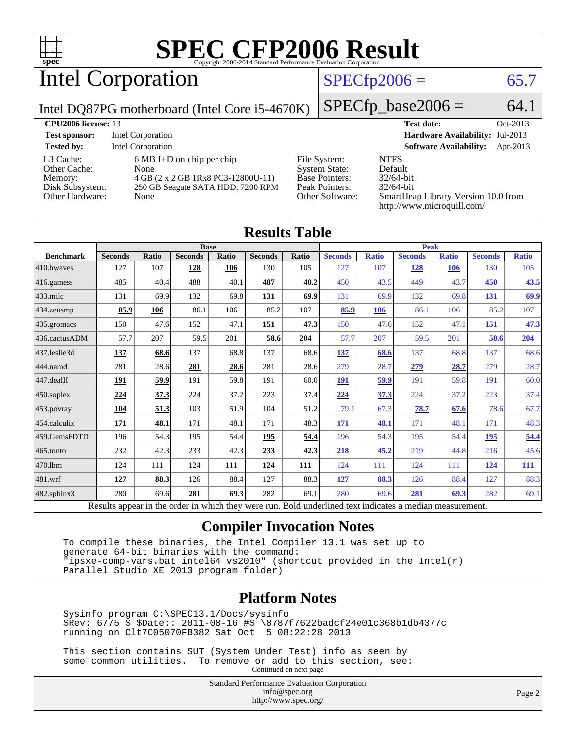

Intel Corporation

#### $SPECfp2006 = 65.7$  $SPECfp2006 = 65.7$

Intel DQ87PG motherboard (Intel Core i5-4670K)

 $SPECfp\_base2006 = 64.1$ 

| <b>CPU2006 license: 13</b>                                                 |                                                                                                                        |                                                                                                    | <b>Test date:</b><br>$Oct-2013$                                                                                             |
|----------------------------------------------------------------------------|------------------------------------------------------------------------------------------------------------------------|----------------------------------------------------------------------------------------------------|-----------------------------------------------------------------------------------------------------------------------------|
| <b>Test sponsor:</b>                                                       | Intel Corporation                                                                                                      |                                                                                                    | Hardware Availability: Jul-2013                                                                                             |
| <b>Tested by:</b>                                                          | <b>Intel Corporation</b>                                                                                               |                                                                                                    | <b>Software Availability:</b><br>Apr-2013                                                                                   |
| L3 Cache:<br>Other Cache:<br>Memory:<br>Disk Subsystem:<br>Other Hardware: | $6 MB I+D$ on chip per chip<br>None<br>4 GB (2 x 2 GB 1Rx8 PC3-12800U-11)<br>250 GB Seagate SATA HDD, 7200 RPM<br>None | File System:<br><b>System State:</b><br><b>Base Pointers:</b><br>Peak Pointers:<br>Other Software: | <b>NTFS</b><br>Default<br>$32/64$ -bit<br>$32/64$ -bit<br>SmartHeap Library Version 10.0 from<br>http://www.microquill.com/ |

| <b>Results Table</b> |       |                |              |                |       |                |              |                |              |                |              |
|----------------------|-------|----------------|--------------|----------------|-------|----------------|--------------|----------------|--------------|----------------|--------------|
| <b>Base</b>          |       |                |              | <b>Peak</b>    |       |                |              |                |              |                |              |
| <b>Seconds</b>       | Ratio | <b>Seconds</b> | Ratio        | <b>Seconds</b> | Ratio | <b>Seconds</b> | <b>Ratio</b> | <b>Seconds</b> | <b>Ratio</b> | <b>Seconds</b> | <b>Ratio</b> |
| 127                  | 107   | 128            | 106          | 130            | 105   | 127            | 107          | 128            | 106          | 130            | 105          |
| 485                  | 40.4  | 488            | 40.1         | 487            | 40.2  | 450            | 43.5         | 449            | 43.7         | 450            | 43.5         |
| 131                  | 69.9  | 132            | 69.8         | 131            | 69.9  | 131            | 69.9         | 132            | 69.8         | 131            | 69.9         |
| 85.9                 | 106   | 86.1           | 106          | 85.2           | 107   | 85.9           | 106          | 86.1           | 106          | 85.2           | 107          |
| 150                  |       | 152            | 47.1         | 151            | 47.3  | 150            | 47.6         | 152            | 47.1         | 151            | 47.3         |
| 57.7                 | 207   | 59.5           | 201          | 58.6           | 204   | 57.7           | 207          | 59.5           | 201          | 58.6           | 204          |
| 137                  | 68.6  | 137            | 68.8         | 137            | 68.6  | 137            | 68.6         | 137            | 68.8         | 137            | 68.6         |
| 281                  |       | 281            | 28.6         | 281            | 28.6  | 279            | 28.7         | 279            | 28.7         | 279            | 28.7         |
| 191                  | 59.9  | 191            | 59.8         | 191            | 60.0  | 191            | 59.9         | 191            | 59.8         | 191            | 60.0         |
| 224                  | 37.3  | 224            | 37.2         | 223            | 37.4  | 224            | 37.3         | 224            | 37.2         | 223            | 37.4         |
| 104                  | 51.3  | 103            | 51.9         | 104            | 51.2  | 79.1           | 67.3         | 78.7           | 67.6         | 78.6           | 67.7         |
| 171                  | 48.1  | 171            | 48.1         | 171            | 48.3  | <u>171</u>     | 48.1         | 171            | 48.1         | 171            | 48.3         |
| 196                  | 54.3  | 195            | 54.4         | 195            | 54.4  | 196            | 54.3         | 195            | 54.4         | 195            | 54.4         |
| 232                  | 42.3  | 233            | 42.3         | 233            | 42.3  | 218            | 45.2         | 219            | 44.8         | 216            | 45.6         |
| 124                  | 111   | 124            | 111          | 124            | 111   | 124            | 111          | 124            | 111          | 124            | <b>111</b>   |
| 127                  | 88.3  | 126            | 88.4         | 127            | 88.3  | 127            | 88.3         | 126            | 88.4         | 127            | 88.3         |
| 280                  | 69.6  | 281            | 69.3         | 282            | 69.1  | 280            | 69.6         | 281            | 69.3         | 282            | 69.1         |
|                      |       |                | 47.6<br>28.6 |                |       |                |              |                |              |                |              |

Results appear in the [order in which they were run.](http://www.spec.org/auto/cpu2006/Docs/result-fields.html#RunOrder) Bold underlined text [indicates a median measurement.](http://www.spec.org/auto/cpu2006/Docs/result-fields.html#Median)

#### **[Compiler Invocation Notes](http://www.spec.org/auto/cpu2006/Docs/result-fields.html#CompilerInvocationNotes)**

 To compile these binaries, the Intel Compiler 13.1 was set up to generate 64-bit binaries with the command: "ipsxe-comp-vars.bat intel64 vs2010" (shortcut provided in the Intel(r) Parallel Studio XE 2013 program folder)

#### **[Platform Notes](http://www.spec.org/auto/cpu2006/Docs/result-fields.html#PlatformNotes)**

 Sysinfo program C:\SPEC13.1/Docs/sysinfo \$Rev: 6775 \$ \$Date:: 2011-08-16 #\$ \8787f7622badcf24e01c368b1db4377c running on Clt7C05070FB382 Sat Oct 5 08:22:28 2013

 This section contains SUT (System Under Test) info as seen by some common utilities. To remove or add to this section, see: Continued on next page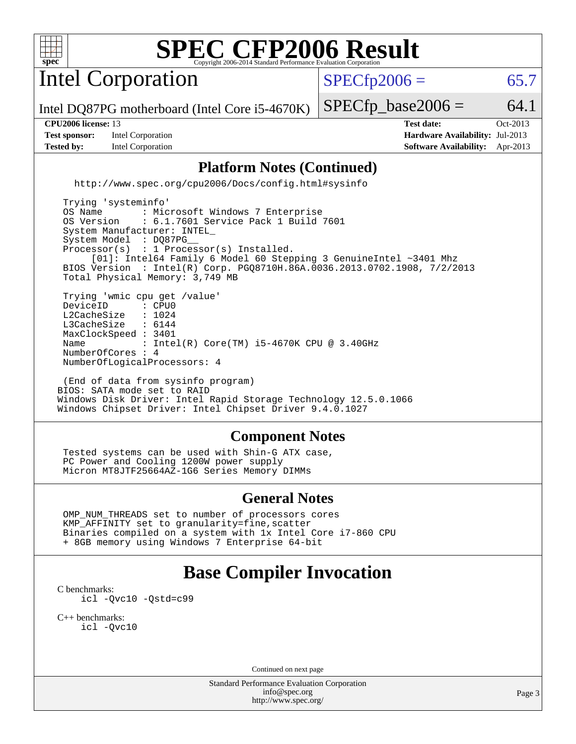

Intel Corporation

 $SPECTp2006 = 65.7$ 

Intel DQ87PG motherboard (Intel Core i5-4670K)

**[Tested by:](http://www.spec.org/auto/cpu2006/Docs/result-fields.html#Testedby)** Intel Corporation **[Software Availability:](http://www.spec.org/auto/cpu2006/Docs/result-fields.html#SoftwareAvailability)** Apr-2013

 $SPECTp\_base2006 = 64.1$ **[CPU2006 license:](http://www.spec.org/auto/cpu2006/Docs/result-fields.html#CPU2006license)** 13 **[Test date:](http://www.spec.org/auto/cpu2006/Docs/result-fields.html#Testdate)** Oct-2013 **[Test sponsor:](http://www.spec.org/auto/cpu2006/Docs/result-fields.html#Testsponsor)** Intel Corporation **[Hardware Availability:](http://www.spec.org/auto/cpu2006/Docs/result-fields.html#HardwareAvailability)** Jul-2013

#### **[Platform Notes \(Continued\)](http://www.spec.org/auto/cpu2006/Docs/result-fields.html#PlatformNotes)**

<http://www.spec.org/cpu2006/Docs/config.html#sysinfo>

 Trying 'systeminfo' OS Name : Microsoft Windows 7 Enterprise<br>OS Version : 6.1.7601 Service Pack 1 Build : 6.1.7601 Service Pack 1 Build 7601 System Manufacturer: INTEL\_ System Model : DQ87PG Processor(s) : 1 Processor(s) Installed. [01]: Intel64 Family 6 Model 60 Stepping 3 GenuineIntel ~3401 Mhz BIOS Version : Intel(R) Corp. PGQ8710H.86A.0036.2013.0702.1908, 7/2/2013 Total Physical Memory: 3,749 MB Trying 'wmic cpu get /value' DeviceID : CPU0<br>L2CacheSize : 1024 L2CacheSize : 1024<br>L3CacheSize : 6144 L3CacheSize MaxClockSpeed : 3401 Name : Intel(R) Core(TM) i5-4670K CPU @ 3.40GHz NumberOfCores : 4 NumberOfLogicalProcessors: 4

 (End of data from sysinfo program) BIOS: SATA mode set to RAID Windows Disk Driver: Intel Rapid Storage Technology 12.5.0.1066 Windows Chipset Driver: Intel Chipset Driver 9.4.0.1027

#### **[Component Notes](http://www.spec.org/auto/cpu2006/Docs/result-fields.html#ComponentNotes)**

 Tested systems can be used with Shin-G ATX case, PC Power and Cooling 1200W power supply Micron MT8JTF25664AZ-1G6 Series Memory DIMMs

#### **[General Notes](http://www.spec.org/auto/cpu2006/Docs/result-fields.html#GeneralNotes)**

 OMP\_NUM\_THREADS set to number of processors cores KMP\_AFFINITY set to granularity=fine,scatter Binaries compiled on a system with 1x Intel Core i7-860 CPU + 8GB memory using Windows 7 Enterprise 64-bit

## **[Base Compiler Invocation](http://www.spec.org/auto/cpu2006/Docs/result-fields.html#BaseCompilerInvocation)**

[C benchmarks](http://www.spec.org/auto/cpu2006/Docs/result-fields.html#Cbenchmarks): [icl -Qvc10](http://www.spec.org/cpu2006/results/res2014q3/cpu2006-20140701-30140.flags.html#user_CCbase_intel_icc_vc10_9607f3ecbcdf68042245f068e51b40c1) [-Qstd=c99](http://www.spec.org/cpu2006/results/res2014q3/cpu2006-20140701-30140.flags.html#user_CCbase_intel_compiler_c99_mode_1a3d110e3041b3ad4466830521bdad2a)

[C++ benchmarks:](http://www.spec.org/auto/cpu2006/Docs/result-fields.html#CXXbenchmarks) [icl -Qvc10](http://www.spec.org/cpu2006/results/res2014q3/cpu2006-20140701-30140.flags.html#user_CXXbase_intel_icc_vc10_9607f3ecbcdf68042245f068e51b40c1)

Continued on next page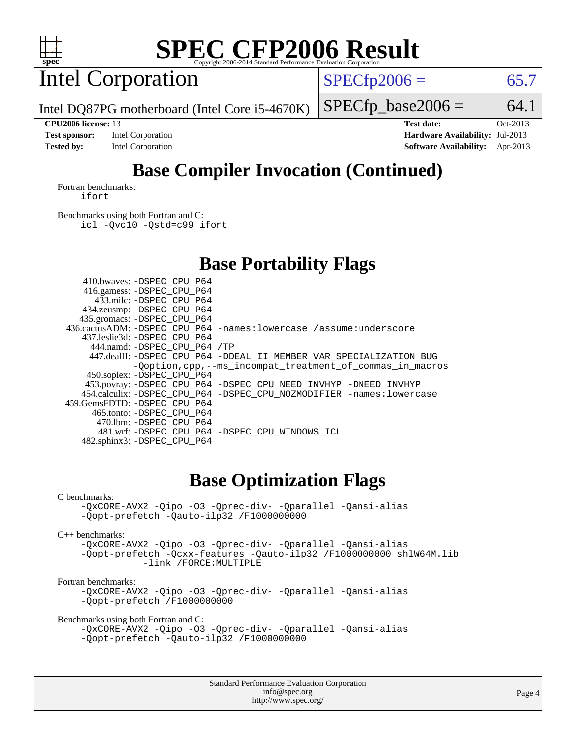

Intel Corporation

 $SPECTp2006 = 65.7$ 

Intel DQ87PG motherboard (Intel Core i5-4670K)

 $SPECTp\_base2006 = 64.1$ 

**[Test sponsor:](http://www.spec.org/auto/cpu2006/Docs/result-fields.html#Testsponsor)** Intel Corporation **[Hardware Availability:](http://www.spec.org/auto/cpu2006/Docs/result-fields.html#HardwareAvailability)** Jul-2013 **[Tested by:](http://www.spec.org/auto/cpu2006/Docs/result-fields.html#Testedby)** Intel Corporation **[Software Availability:](http://www.spec.org/auto/cpu2006/Docs/result-fields.html#SoftwareAvailability)** Apr-2013

**[CPU2006 license:](http://www.spec.org/auto/cpu2006/Docs/result-fields.html#CPU2006license)** 13 **[Test date:](http://www.spec.org/auto/cpu2006/Docs/result-fields.html#Testdate)** Oct-2013

# **[Base Compiler Invocation \(Continued\)](http://www.spec.org/auto/cpu2006/Docs/result-fields.html#BaseCompilerInvocation)**

[Fortran benchmarks](http://www.spec.org/auto/cpu2006/Docs/result-fields.html#Fortranbenchmarks): [ifort](http://www.spec.org/cpu2006/results/res2014q3/cpu2006-20140701-30140.flags.html#user_FCbase_intel_ifort_8a5e5e06b19a251bdeaf8fdab5d62f20)

[Benchmarks using both Fortran and C](http://www.spec.org/auto/cpu2006/Docs/result-fields.html#BenchmarksusingbothFortranandC): [icl -Qvc10](http://www.spec.org/cpu2006/results/res2014q3/cpu2006-20140701-30140.flags.html#user_CC_FCbase_intel_icc_vc10_9607f3ecbcdf68042245f068e51b40c1) [-Qstd=c99](http://www.spec.org/cpu2006/results/res2014q3/cpu2006-20140701-30140.flags.html#user_CC_FCbase_intel_compiler_c99_mode_1a3d110e3041b3ad4466830521bdad2a) [ifort](http://www.spec.org/cpu2006/results/res2014q3/cpu2006-20140701-30140.flags.html#user_CC_FCbase_intel_ifort_8a5e5e06b19a251bdeaf8fdab5d62f20)

### **[Base Portability Flags](http://www.spec.org/auto/cpu2006/Docs/result-fields.html#BasePortabilityFlags)**

 410.bwaves: [-DSPEC\\_CPU\\_P64](http://www.spec.org/cpu2006/results/res2014q3/cpu2006-20140701-30140.flags.html#suite_basePORTABILITY410_bwaves_DSPEC_CPU_P64) 416.gamess: [-DSPEC\\_CPU\\_P64](http://www.spec.org/cpu2006/results/res2014q3/cpu2006-20140701-30140.flags.html#suite_basePORTABILITY416_gamess_DSPEC_CPU_P64) 433.milc: [-DSPEC\\_CPU\\_P64](http://www.spec.org/cpu2006/results/res2014q3/cpu2006-20140701-30140.flags.html#suite_basePORTABILITY433_milc_DSPEC_CPU_P64) 434.zeusmp: [-DSPEC\\_CPU\\_P64](http://www.spec.org/cpu2006/results/res2014q3/cpu2006-20140701-30140.flags.html#suite_basePORTABILITY434_zeusmp_DSPEC_CPU_P64) 435.gromacs: [-DSPEC\\_CPU\\_P64](http://www.spec.org/cpu2006/results/res2014q3/cpu2006-20140701-30140.flags.html#suite_basePORTABILITY435_gromacs_DSPEC_CPU_P64) 436.cactusADM: [-DSPEC\\_CPU\\_P64](http://www.spec.org/cpu2006/results/res2014q3/cpu2006-20140701-30140.flags.html#suite_basePORTABILITY436_cactusADM_DSPEC_CPU_P64) [-names:lowercase](http://www.spec.org/cpu2006/results/res2014q3/cpu2006-20140701-30140.flags.html#user_baseFPORTABILITY436_cactusADM_lowercase_routine_name_fa09b8c93d90fdc7bf4c1a91694c3a84) [/assume:underscore](http://www.spec.org/cpu2006/results/res2014q3/cpu2006-20140701-30140.flags.html#user_baseFPORTABILITY436_cactusADM_add-underscore_to_routine_name_0c7c658d9e5eb8b86e282975775768a4) 437.leslie3d: [-DSPEC\\_CPU\\_P64](http://www.spec.org/cpu2006/results/res2014q3/cpu2006-20140701-30140.flags.html#suite_basePORTABILITY437_leslie3d_DSPEC_CPU_P64) 444.namd: [-DSPEC\\_CPU\\_P64](http://www.spec.org/cpu2006/results/res2014q3/cpu2006-20140701-30140.flags.html#suite_basePORTABILITY444_namd_DSPEC_CPU_P64) [/TP](http://www.spec.org/cpu2006/results/res2014q3/cpu2006-20140701-30140.flags.html#user_baseCXXPORTABILITY444_namd_assume_cplusplus_sources_73f79b6e94f79d415caf1b69b30a60d8) 447.dealII: [-DSPEC\\_CPU\\_P64](http://www.spec.org/cpu2006/results/res2014q3/cpu2006-20140701-30140.flags.html#suite_basePORTABILITY447_dealII_DSPEC_CPU_P64) [-DDEAL\\_II\\_MEMBER\\_VAR\\_SPECIALIZATION\\_BUG](http://www.spec.org/cpu2006/results/res2014q3/cpu2006-20140701-30140.flags.html#b447.dealII_baseCXXPORTABILITY_DDEAL_II_MEMBER_VAR_SPECIALIZATION_BUG) [-Qoption,cpp,--ms\\_incompat\\_treatment\\_of\\_commas\\_in\\_macros](http://www.spec.org/cpu2006/results/res2014q3/cpu2006-20140701-30140.flags.html#user_baseCXXPORTABILITY447_dealII_workaround_for_incompat_commas_in_macros_371e7208d1728f07541b35505d65f89c) 450.soplex: [-DSPEC\\_CPU\\_P64](http://www.spec.org/cpu2006/results/res2014q3/cpu2006-20140701-30140.flags.html#suite_basePORTABILITY450_soplex_DSPEC_CPU_P64) 453.povray: [-DSPEC\\_CPU\\_P64](http://www.spec.org/cpu2006/results/res2014q3/cpu2006-20140701-30140.flags.html#suite_basePORTABILITY453_povray_DSPEC_CPU_P64) [-DSPEC\\_CPU\\_NEED\\_INVHYP](http://www.spec.org/cpu2006/results/res2014q3/cpu2006-20140701-30140.flags.html#b453.povray_baseCXXPORTABILITY_DSPEC_CPU_NEED_INVHYP) [-DNEED\\_INVHYP](http://www.spec.org/cpu2006/results/res2014q3/cpu2006-20140701-30140.flags.html#b453.povray_baseCXXPORTABILITY_DNEED_INVHYP) 454.calculix: [-DSPEC\\_CPU\\_P64](http://www.spec.org/cpu2006/results/res2014q3/cpu2006-20140701-30140.flags.html#suite_basePORTABILITY454_calculix_DSPEC_CPU_P64) [-DSPEC\\_CPU\\_NOZMODIFIER](http://www.spec.org/cpu2006/results/res2014q3/cpu2006-20140701-30140.flags.html#b454.calculix_baseCPORTABILITY_DSPEC_CPU_NOZMODIFIER) [-names:lowercase](http://www.spec.org/cpu2006/results/res2014q3/cpu2006-20140701-30140.flags.html#user_baseFPORTABILITY454_calculix_lowercase_routine_name_fa09b8c93d90fdc7bf4c1a91694c3a84) 459.GemsFDTD: [-DSPEC\\_CPU\\_P64](http://www.spec.org/cpu2006/results/res2014q3/cpu2006-20140701-30140.flags.html#suite_basePORTABILITY459_GemsFDTD_DSPEC_CPU_P64) 465.tonto: [-DSPEC\\_CPU\\_P64](http://www.spec.org/cpu2006/results/res2014q3/cpu2006-20140701-30140.flags.html#suite_basePORTABILITY465_tonto_DSPEC_CPU_P64) 470.lbm: [-DSPEC\\_CPU\\_P64](http://www.spec.org/cpu2006/results/res2014q3/cpu2006-20140701-30140.flags.html#suite_basePORTABILITY470_lbm_DSPEC_CPU_P64) 481.wrf: [-DSPEC\\_CPU\\_P64](http://www.spec.org/cpu2006/results/res2014q3/cpu2006-20140701-30140.flags.html#suite_basePORTABILITY481_wrf_DSPEC_CPU_P64) [-DSPEC\\_CPU\\_WINDOWS\\_ICL](http://www.spec.org/cpu2006/results/res2014q3/cpu2006-20140701-30140.flags.html#b481.wrf_baseCPORTABILITY_DSPEC_CPU_WINDOWS_ICL) 482.sphinx3: [-DSPEC\\_CPU\\_P64](http://www.spec.org/cpu2006/results/res2014q3/cpu2006-20140701-30140.flags.html#suite_basePORTABILITY482_sphinx3_DSPEC_CPU_P64)

### **[Base Optimization Flags](http://www.spec.org/auto/cpu2006/Docs/result-fields.html#BaseOptimizationFlags)**

#### [C benchmarks](http://www.spec.org/auto/cpu2006/Docs/result-fields.html#Cbenchmarks):

```
-QxCORE-AVX2 -Qipo -O3 -Qprec-div- -Qparallel -Qansi-alias
-Qopt-prefetch -Qauto-ilp32 /F1000000000
```
[C++ benchmarks:](http://www.spec.org/auto/cpu2006/Docs/result-fields.html#CXXbenchmarks)

[-QxCORE-AVX2](http://www.spec.org/cpu2006/results/res2014q3/cpu2006-20140701-30140.flags.html#user_CXXbase_f-QxAVX2_f98716b5f9e905f99c943c56f21bf430) [-Qipo](http://www.spec.org/cpu2006/results/res2014q3/cpu2006-20140701-30140.flags.html#user_CXXbase_f-Qipo) [-O3](http://www.spec.org/cpu2006/results/res2014q3/cpu2006-20140701-30140.flags.html#user_CXXbase_f-O3) [-Qprec-div-](http://www.spec.org/cpu2006/results/res2014q3/cpu2006-20140701-30140.flags.html#user_CXXbase_f-Qprec-div-) [-Qparallel](http://www.spec.org/cpu2006/results/res2014q3/cpu2006-20140701-30140.flags.html#user_CXXbase_f-Qparallel) [-Qansi-alias](http://www.spec.org/cpu2006/results/res2014q3/cpu2006-20140701-30140.flags.html#user_CXXbase_f-Qansi-alias) [-Qopt-prefetch](http://www.spec.org/cpu2006/results/res2014q3/cpu2006-20140701-30140.flags.html#user_CXXbase_f-Qprefetch_37c211608666b9dff9380561f602f0a8) [-Qcxx-features](http://www.spec.org/cpu2006/results/res2014q3/cpu2006-20140701-30140.flags.html#user_CXXbase_f-Qcxx_features_dbf36c8a6dba956e22f1645e4dcd4d98) [-Qauto-ilp32](http://www.spec.org/cpu2006/results/res2014q3/cpu2006-20140701-30140.flags.html#user_CXXbase_f-Qauto-ilp32) [/F1000000000](http://www.spec.org/cpu2006/results/res2014q3/cpu2006-20140701-30140.flags.html#user_CXXbase_set_stack_space_25d7749c1988d91b7f93afbc0ec53727) [shlW64M.lib](http://www.spec.org/cpu2006/results/res2014q3/cpu2006-20140701-30140.flags.html#user_CXXbase_SmartHeap64_c4f7f76711bdf8c0633a5c1edf6e5396)  [-link /FORCE:MULTIPLE](http://www.spec.org/cpu2006/results/res2014q3/cpu2006-20140701-30140.flags.html#user_CXXbase_link_force_multiple2_070fe330869edf77077b841074b8b0b6)

#### [Fortran benchmarks](http://www.spec.org/auto/cpu2006/Docs/result-fields.html#Fortranbenchmarks):

[-QxCORE-AVX2](http://www.spec.org/cpu2006/results/res2014q3/cpu2006-20140701-30140.flags.html#user_FCbase_f-QxAVX2_f98716b5f9e905f99c943c56f21bf430) [-Qipo](http://www.spec.org/cpu2006/results/res2014q3/cpu2006-20140701-30140.flags.html#user_FCbase_f-Qipo) [-O3](http://www.spec.org/cpu2006/results/res2014q3/cpu2006-20140701-30140.flags.html#user_FCbase_f-O3) [-Qprec-div-](http://www.spec.org/cpu2006/results/res2014q3/cpu2006-20140701-30140.flags.html#user_FCbase_f-Qprec-div-) [-Qparallel](http://www.spec.org/cpu2006/results/res2014q3/cpu2006-20140701-30140.flags.html#user_FCbase_f-Qparallel) [-Qansi-alias](http://www.spec.org/cpu2006/results/res2014q3/cpu2006-20140701-30140.flags.html#user_FCbase_f-Qansi-alias) [-Qopt-prefetch](http://www.spec.org/cpu2006/results/res2014q3/cpu2006-20140701-30140.flags.html#user_FCbase_f-Qprefetch_37c211608666b9dff9380561f602f0a8) [/F1000000000](http://www.spec.org/cpu2006/results/res2014q3/cpu2006-20140701-30140.flags.html#user_FCbase_set_stack_space_25d7749c1988d91b7f93afbc0ec53727)

[Benchmarks using both Fortran and C](http://www.spec.org/auto/cpu2006/Docs/result-fields.html#BenchmarksusingbothFortranandC):

```
-QxCORE-AVX2 -Qipo -O3 -Qprec-div- -Qparallel -Qansi-alias
-Qopt-prefetch -Qauto-ilp32 /F1000000000
```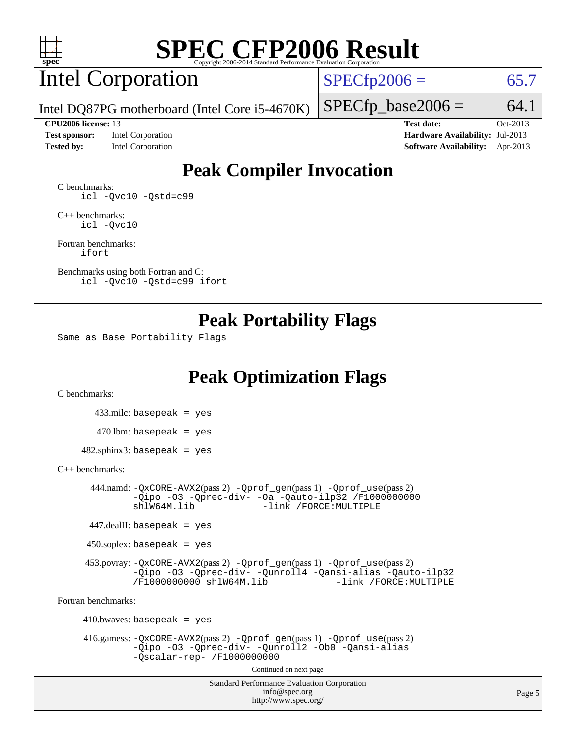

## Intel Corporation

 $SPECfp2006 = 65.7$  $SPECfp2006 = 65.7$ 

Intel DQ87PG motherboard (Intel Core i5-4670K)

**[Tested by:](http://www.spec.org/auto/cpu2006/Docs/result-fields.html#Testedby)** Intel Corporation **[Software Availability:](http://www.spec.org/auto/cpu2006/Docs/result-fields.html#SoftwareAvailability)** Apr-2013

**[CPU2006 license:](http://www.spec.org/auto/cpu2006/Docs/result-fields.html#CPU2006license)** 13 **[Test date:](http://www.spec.org/auto/cpu2006/Docs/result-fields.html#Testdate)** Oct-2013 **[Test sponsor:](http://www.spec.org/auto/cpu2006/Docs/result-fields.html#Testsponsor)** Intel Corporation **[Hardware Availability:](http://www.spec.org/auto/cpu2006/Docs/result-fields.html#HardwareAvailability)** Jul-2013

 $SPECTp\_base2006 = 64.1$ 

## **[Peak Compiler Invocation](http://www.spec.org/auto/cpu2006/Docs/result-fields.html#PeakCompilerInvocation)**

[C benchmarks](http://www.spec.org/auto/cpu2006/Docs/result-fields.html#Cbenchmarks): [icl -Qvc10](http://www.spec.org/cpu2006/results/res2014q3/cpu2006-20140701-30140.flags.html#user_CCpeak_intel_icc_vc10_9607f3ecbcdf68042245f068e51b40c1) [-Qstd=c99](http://www.spec.org/cpu2006/results/res2014q3/cpu2006-20140701-30140.flags.html#user_CCpeak_intel_compiler_c99_mode_1a3d110e3041b3ad4466830521bdad2a)

[C++ benchmarks:](http://www.spec.org/auto/cpu2006/Docs/result-fields.html#CXXbenchmarks) [icl -Qvc10](http://www.spec.org/cpu2006/results/res2014q3/cpu2006-20140701-30140.flags.html#user_CXXpeak_intel_icc_vc10_9607f3ecbcdf68042245f068e51b40c1)

[Fortran benchmarks](http://www.spec.org/auto/cpu2006/Docs/result-fields.html#Fortranbenchmarks): [ifort](http://www.spec.org/cpu2006/results/res2014q3/cpu2006-20140701-30140.flags.html#user_FCpeak_intel_ifort_8a5e5e06b19a251bdeaf8fdab5d62f20)

[Benchmarks using both Fortran and C](http://www.spec.org/auto/cpu2006/Docs/result-fields.html#BenchmarksusingbothFortranandC): [icl -Qvc10](http://www.spec.org/cpu2006/results/res2014q3/cpu2006-20140701-30140.flags.html#user_CC_FCpeak_intel_icc_vc10_9607f3ecbcdf68042245f068e51b40c1) [-Qstd=c99](http://www.spec.org/cpu2006/results/res2014q3/cpu2006-20140701-30140.flags.html#user_CC_FCpeak_intel_compiler_c99_mode_1a3d110e3041b3ad4466830521bdad2a) [ifort](http://www.spec.org/cpu2006/results/res2014q3/cpu2006-20140701-30140.flags.html#user_CC_FCpeak_intel_ifort_8a5e5e06b19a251bdeaf8fdab5d62f20)

### **[Peak Portability Flags](http://www.spec.org/auto/cpu2006/Docs/result-fields.html#PeakPortabilityFlags)**

Same as Base Portability Flags

## **[Peak Optimization Flags](http://www.spec.org/auto/cpu2006/Docs/result-fields.html#PeakOptimizationFlags)**

[C benchmarks](http://www.spec.org/auto/cpu2006/Docs/result-fields.html#Cbenchmarks):

 433.milc: basepeak = yes  $470.1$ bm: basepeak = yes

 $482$ .sphinx3: basepeak = yes

#### [C++ benchmarks:](http://www.spec.org/auto/cpu2006/Docs/result-fields.html#CXXbenchmarks)

 444.namd: [-QxCORE-AVX2](http://www.spec.org/cpu2006/results/res2014q3/cpu2006-20140701-30140.flags.html#user_peakPASS2_CXXFLAGSPASS2_LDFLAGS444_namd_f-QxAVX2_f98716b5f9e905f99c943c56f21bf430)(pass 2) [-Qprof\\_gen](http://www.spec.org/cpu2006/results/res2014q3/cpu2006-20140701-30140.flags.html#user_peakPASS1_CXXFLAGSPASS1_LDFLAGS444_namd_Qprof_gen)(pass 1) [-Qprof\\_use](http://www.spec.org/cpu2006/results/res2014q3/cpu2006-20140701-30140.flags.html#user_peakPASS2_CXXFLAGSPASS2_LDFLAGS444_namd_Qprof_use)(pass 2) [-Qipo](http://www.spec.org/cpu2006/results/res2014q3/cpu2006-20140701-30140.flags.html#user_peakOPTIMIZE444_namd_f-Qipo) [-O3](http://www.spec.org/cpu2006/results/res2014q3/cpu2006-20140701-30140.flags.html#user_peakOPTIMIZE444_namd_f-O3) [-Qprec-div-](http://www.spec.org/cpu2006/results/res2014q3/cpu2006-20140701-30140.flags.html#user_peakOPTIMIZE444_namd_f-Qprec-div-) [-Oa](http://www.spec.org/cpu2006/results/res2014q3/cpu2006-20140701-30140.flags.html#user_peakOPTIMIZE444_namd_f-Oa) [-Qauto-ilp32](http://www.spec.org/cpu2006/results/res2014q3/cpu2006-20140701-30140.flags.html#user_peakCXXOPTIMIZE444_namd_f-Qauto-ilp32) [/F1000000000](http://www.spec.org/cpu2006/results/res2014q3/cpu2006-20140701-30140.flags.html#user_peakEXTRA_LDFLAGS444_namd_set_stack_space_25d7749c1988d91b7f93afbc0ec53727)0<br>shlW64M.lib -link /FORCE:MULTIPLE -link /FORCE: MULTIPLE

447.dealII: basepeak = yes

 $450$ .soplex: basepeak = yes

 453.povray: [-QxCORE-AVX2](http://www.spec.org/cpu2006/results/res2014q3/cpu2006-20140701-30140.flags.html#user_peakPASS2_CXXFLAGSPASS2_LDFLAGS453_povray_f-QxAVX2_f98716b5f9e905f99c943c56f21bf430)(pass 2) [-Qprof\\_gen](http://www.spec.org/cpu2006/results/res2014q3/cpu2006-20140701-30140.flags.html#user_peakPASS1_CXXFLAGSPASS1_LDFLAGS453_povray_Qprof_gen)(pass 1) [-Qprof\\_use](http://www.spec.org/cpu2006/results/res2014q3/cpu2006-20140701-30140.flags.html#user_peakPASS2_CXXFLAGSPASS2_LDFLAGS453_povray_Qprof_use)(pass 2) [-Qipo](http://www.spec.org/cpu2006/results/res2014q3/cpu2006-20140701-30140.flags.html#user_peakOPTIMIZE453_povray_f-Qipo) [-O3](http://www.spec.org/cpu2006/results/res2014q3/cpu2006-20140701-30140.flags.html#user_peakOPTIMIZE453_povray_f-O3) [-Qprec-div-](http://www.spec.org/cpu2006/results/res2014q3/cpu2006-20140701-30140.flags.html#user_peakOPTIMIZE453_povray_f-Qprec-div-) [-Qunroll4](http://www.spec.org/cpu2006/results/res2014q3/cpu2006-20140701-30140.flags.html#user_peakOPTIMIZE453_povray_f-Qunroll_013b1c0ea3aa84ef2c65e488bcc3d968) [-Qansi-alias](http://www.spec.org/cpu2006/results/res2014q3/cpu2006-20140701-30140.flags.html#user_peakOPTIMIZE453_povray_f-Qansi-alias) [-Qauto-ilp32](http://www.spec.org/cpu2006/results/res2014q3/cpu2006-20140701-30140.flags.html#user_peakCXXOPTIMIZE453_povray_f-Qauto-ilp32) [/F1000000000](http://www.spec.org/cpu2006/results/res2014q3/cpu2006-20140701-30140.flags.html#user_peakEXTRA_LDFLAGS453_povray_set_stack_space_25d7749c1988d91b7f93afbc0ec53727) [shlW64M.lib](http://www.spec.org/cpu2006/results/res2014q3/cpu2006-20140701-30140.flags.html#user_peakEXTRA_LIBS453_povray_SmartHeap64_c4f7f76711bdf8c0633a5c1edf6e5396)

[Fortran benchmarks](http://www.spec.org/auto/cpu2006/Docs/result-fields.html#Fortranbenchmarks):

 $410.bwaves: basepeak = yes$  416.gamess: [-QxCORE-AVX2](http://www.spec.org/cpu2006/results/res2014q3/cpu2006-20140701-30140.flags.html#user_peakPASS2_FFLAGSPASS2_LDFLAGS416_gamess_f-QxAVX2_f98716b5f9e905f99c943c56f21bf430)(pass 2) [-Qprof\\_gen](http://www.spec.org/cpu2006/results/res2014q3/cpu2006-20140701-30140.flags.html#user_peakPASS1_FFLAGSPASS1_LDFLAGS416_gamess_Qprof_gen)(pass 1) [-Qprof\\_use](http://www.spec.org/cpu2006/results/res2014q3/cpu2006-20140701-30140.flags.html#user_peakPASS2_FFLAGSPASS2_LDFLAGS416_gamess_Qprof_use)(pass 2) [-Qipo](http://www.spec.org/cpu2006/results/res2014q3/cpu2006-20140701-30140.flags.html#user_peakOPTIMIZE416_gamess_f-Qipo) [-O3](http://www.spec.org/cpu2006/results/res2014q3/cpu2006-20140701-30140.flags.html#user_peakOPTIMIZE416_gamess_f-O3) [-Qprec-div-](http://www.spec.org/cpu2006/results/res2014q3/cpu2006-20140701-30140.flags.html#user_peakOPTIMIZE416_gamess_f-Qprec-div-) [-Qunroll2](http://www.spec.org/cpu2006/results/res2014q3/cpu2006-20140701-30140.flags.html#user_peakOPTIMIZE416_gamess_f-Qunroll_1d9456aa650e77fc2a0cf43cef3fa08c) [-Ob0](http://www.spec.org/cpu2006/results/res2014q3/cpu2006-20140701-30140.flags.html#user_peakOPTIMIZE416_gamess_f-Ob_n_fbe6f6428adb7d4b74b1e99bb2444c2d) [-Qansi-alias](http://www.spec.org/cpu2006/results/res2014q3/cpu2006-20140701-30140.flags.html#user_peakOPTIMIZE416_gamess_f-Qansi-alias) [-Qscalar-rep-](http://www.spec.org/cpu2006/results/res2014q3/cpu2006-20140701-30140.flags.html#user_peakOPTIMIZE416_gamess_f-Qscalar-rep_02cb9e11a5340d80ab3062d84e5dfb2e) [/F1000000000](http://www.spec.org/cpu2006/results/res2014q3/cpu2006-20140701-30140.flags.html#user_peakEXTRA_LDFLAGS416_gamess_set_stack_space_25d7749c1988d91b7f93afbc0ec53727) Continued on next page